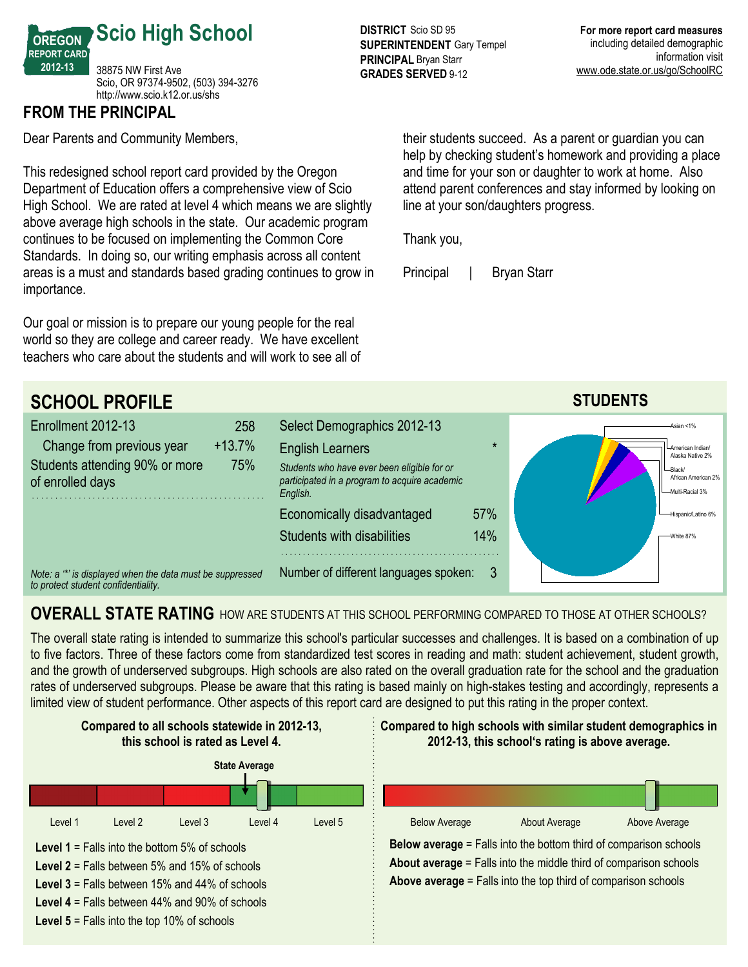

# **FROM THE PRINCIPAL**

Dear Parents and Community Members,

This redesigned school report card provided by the Oregon Department of Education offers a comprehensive view of Scio High School. We are rated at level 4 which means we are slightly above average high schools in the state. Our academic program continues to be focused on implementing the Common Core Standards. In doing so, our writing emphasis across all content areas is a must and standards based grading continues to grow in importance.

Our goal or mission is to prepare our young people for the real world so they are college and career ready. We have excellent teachers who care about the students and will work to see all of

**DISTRICT** Scio SD 95 **SUPERINTENDENT** Gary Tempel **PRINCIPAL** Bryan Starr **GRADES SERVED 9-12** 

their students succeed. As a parent or guardian you can help by checking student's homework and providing a place and time for your son or daughter to work at home. Also attend parent conferences and stay informed by looking on line at your son/daughters progress.

Thank you,

Principal | Bryan Starr



# **OVERALL STATE RATING** HOW ARE STUDENTS AT THIS SCHOOL PERFORMING COMPARED TO THOSE AT OTHER SCHOOLS?

The overall state rating is intended to summarize this school's particular successes and challenges. It is based on a combination of up to five factors. Three of these factors come from standardized test scores in reading and math: student achievement, student growth, and the growth of underserved subgroups. High schools are also rated on the overall graduation rate for the school and the graduation rates of underserved subgroups. Please be aware that this rating is based mainly on high-stakes testing and accordingly, represents a limited view of student performance. Other aspects of this report card are designed to put this rating in the proper context.

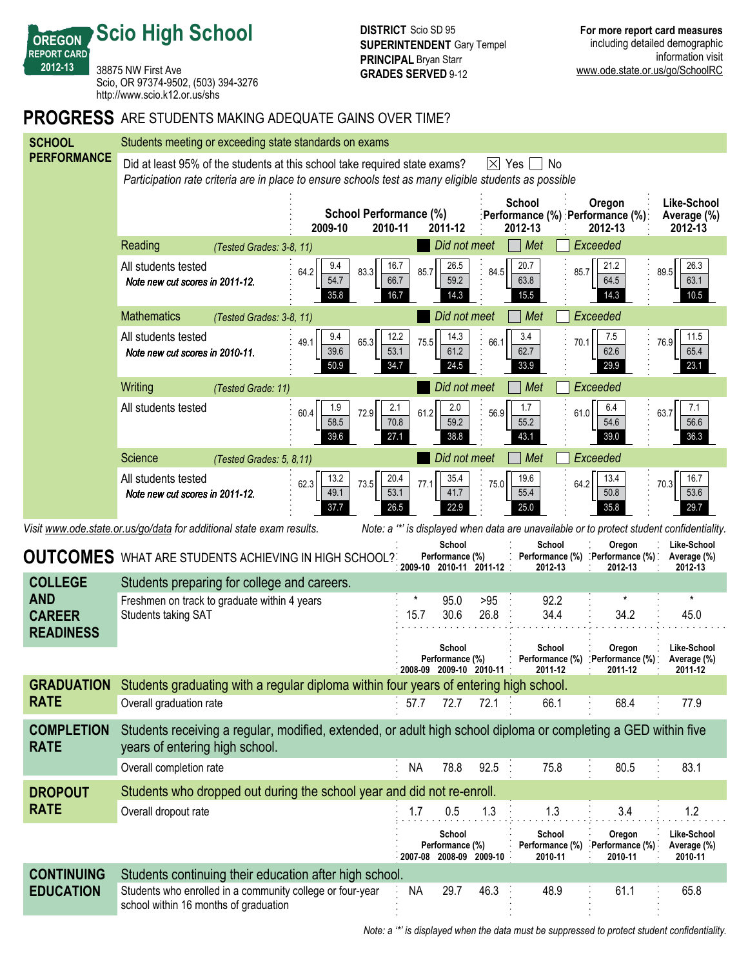**Scio High School**

**OREGON REPORT CARD 201213**

38875 NW First Ave Scio, OR 97374-9502, (503) 394-3276 http://www.scio.k12.or.us/shs

#### **PROGRESS** ARE STUDENTS MAKING ADEQUATE GAINS OVER TIME?

| <b>SCHOOL</b>                                                                                                                                                     | Students meeting or exceeding state standards on exams                                                              |                                            |                                              |                              |                            |  |  |  |
|-------------------------------------------------------------------------------------------------------------------------------------------------------------------|---------------------------------------------------------------------------------------------------------------------|--------------------------------------------|----------------------------------------------|------------------------------|----------------------------|--|--|--|
| <b>PERFORMANCE</b>                                                                                                                                                | Did at least 95% of the students at this school take required state exams?<br>I⊠ Yes<br>No.                         |                                            |                                              |                              |                            |  |  |  |
|                                                                                                                                                                   | Participation rate criteria are in place to ensure schools test as many eligible students as possible               |                                            |                                              |                              |                            |  |  |  |
|                                                                                                                                                                   | School<br>Oregon<br>School Performance (%)                                                                          |                                            |                                              |                              |                            |  |  |  |
|                                                                                                                                                                   | 2009-10                                                                                                             | 2010-11<br>2011-12                         | Performance (%) : Performance (%)<br>2012-13 | 2012-13                      | Average (%)<br>2012-13     |  |  |  |
|                                                                                                                                                                   | Reading<br>(Tested Grades: 3-8, 11)                                                                                 | Did not meet                               | Met                                          | Exceeded                     |                            |  |  |  |
|                                                                                                                                                                   | All students tested<br>9.4<br>64.2<br>83.3                                                                          | 16.7<br>26.5<br>85.7                       | 20.7<br>84.5<br>85.7                         | 21.2                         | 26.3<br>89.5               |  |  |  |
|                                                                                                                                                                   | 54.7<br>Note new cut scores in 2011-12.<br>35.8                                                                     | 59.2<br>66.7<br>16.7<br>14.3               | 63.8<br>15.5                                 | 64.5<br>14.3                 | 63.1<br>10.5               |  |  |  |
|                                                                                                                                                                   | <b>Mathematics</b><br>(Tested Grades: 3-8, 11)                                                                      | Did not meet                               | Met                                          | Exceeded                     |                            |  |  |  |
|                                                                                                                                                                   | All students tested<br>9.4<br>49.1<br>65.3                                                                          | 12.2<br>14.3<br>75.5                       | 3.4<br>66.1<br>70.1                          | 7.5                          | 11.5<br>76.9               |  |  |  |
|                                                                                                                                                                   | 39.6<br>Note new cut scores in 2010-11.<br>50.9                                                                     | 61.2<br>53.1<br>34.7<br>24.5               | 62.7<br>33.9                                 | 62.6<br>29.9                 | 65.4<br>23.1               |  |  |  |
|                                                                                                                                                                   | Writing                                                                                                             | Did not meet                               | Met                                          | Exceeded                     |                            |  |  |  |
|                                                                                                                                                                   | (Tested Grade: 11)<br>1.9<br>All students tested                                                                    | 2.1<br>2.0                                 | 1.7                                          | 6.4                          | 7.1                        |  |  |  |
|                                                                                                                                                                   | 60.4<br>72.9<br>58.5                                                                                                | 61.2<br>70.8<br>59.2                       | 56.9<br>61.0<br>55.2                         | 54.6                         | 63.7<br>56.6               |  |  |  |
|                                                                                                                                                                   | 39.6                                                                                                                | 27.1<br>38.8                               | 43.1                                         | 39.0                         | 36.3                       |  |  |  |
|                                                                                                                                                                   | Science<br>(Tested Grades: 5, 8,11)                                                                                 | Did not meet                               | Met                                          | Exceeded                     |                            |  |  |  |
|                                                                                                                                                                   | All students tested<br>13.2<br>62.3<br>73.5<br>49.1                                                                 | 20.4<br>35.4<br>77.1<br>53.1<br>41.7       | 19.6<br>64.2<br>75.0<br>55.4                 | 13.4<br>50.8                 | 16.7<br>70.3<br>53.6       |  |  |  |
|                                                                                                                                                                   | Note new cut scores in 2011-12.<br>37.7                                                                             | 26.5<br>22.9                               | 25.0                                         | 35.8                         | 29.7                       |  |  |  |
| Note: a "*' is displayed when data are unavailable or to protect student confidentiality.<br>Visit www.ode.state.or.us/go/data for additional state exam results. |                                                                                                                     |                                            |                                              |                              |                            |  |  |  |
|                                                                                                                                                                   |                                                                                                                     |                                            |                                              |                              |                            |  |  |  |
|                                                                                                                                                                   | <b>OUTCOMES</b> WHAT ARE STUDENTS ACHIEVING IN HIGH SCHOOL?                                                         | School<br>Performance (%)                  | School<br>Performance (%)                    | Oregon<br>Performance (%) .  | Like-School<br>Average (%) |  |  |  |
| <b>COLLEGE</b>                                                                                                                                                    | Students preparing for college and careers.                                                                         | 2009-10 2010-11 2011-12                    | 2012-13                                      | 2012-13                      | 2012-13                    |  |  |  |
| <b>AND</b>                                                                                                                                                        | Freshmen on track to graduate within 4 years                                                                        | 95.0                                       | 92.2<br>>95                                  |                              | $\star$                    |  |  |  |
| <b>CAREER</b>                                                                                                                                                     | <b>Students taking SAT</b>                                                                                          | 15.7<br>30.6                               | 26.8<br>34.4                                 | 34.2                         | 45.0                       |  |  |  |
| <b>READINESS</b>                                                                                                                                                  |                                                                                                                     | School                                     | School                                       | Oregon                       | Like-School                |  |  |  |
|                                                                                                                                                                   |                                                                                                                     | Performance (%)                            | Performance (%)<br>2011-12                   | : Performance (%)<br>2011-12 | Average (%)<br>2011-12     |  |  |  |
| GRADUATION                                                                                                                                                        | Students graduating with a regular diploma within four years of entering high school.                               | 2008-09 2009-10 2010-11                    |                                              |                              |                            |  |  |  |
| <b>RATE</b>                                                                                                                                                       | Overall graduation rate                                                                                             | 57.7<br>72.7                               | 66.1<br>72.1                                 | 68.4                         | 77.9                       |  |  |  |
| <b>COMPLETION</b>                                                                                                                                                 | Students receiving a regular, modified, extended, or adult high school diploma or completing a GED within five      |                                            |                                              |                              |                            |  |  |  |
| <b>RATE</b>                                                                                                                                                       | years of entering high school.                                                                                      |                                            |                                              |                              |                            |  |  |  |
|                                                                                                                                                                   | Overall completion rate                                                                                             | 78.8<br><b>NA</b>                          | $92.5$ :<br>75.8                             | 80.5                         | 83.1                       |  |  |  |
| <b>DROPOUT</b>                                                                                                                                                    | Students who dropped out during the school year and did not re-enroll.                                              |                                            |                                              |                              |                            |  |  |  |
| <b>RATE</b>                                                                                                                                                       | Overall dropout rate                                                                                                | 1.7<br>0.5                                 | 1.3<br>1.3                                   | 3.4                          | 1.2                        |  |  |  |
|                                                                                                                                                                   |                                                                                                                     | School                                     | School                                       | Oregon                       | Like-School                |  |  |  |
|                                                                                                                                                                   |                                                                                                                     | Performance (%)<br>2007-08 2008-09 2009-10 | Performance (%)<br>2010-11                   | Performance (%)<br>2010-11   | Average (%)<br>2010-11     |  |  |  |
| <b>CONTINUING</b><br><b>EDUCATION</b>                                                                                                                             | Students continuing their education after high school.<br>Students who enrolled in a community college or four-year | 29.7<br>NА                                 | 46.3<br>48.9                                 | 61.1                         | 65.8                       |  |  |  |

*Note: a '\*' is displayed when the data must be suppressed to protect student confidentiality.*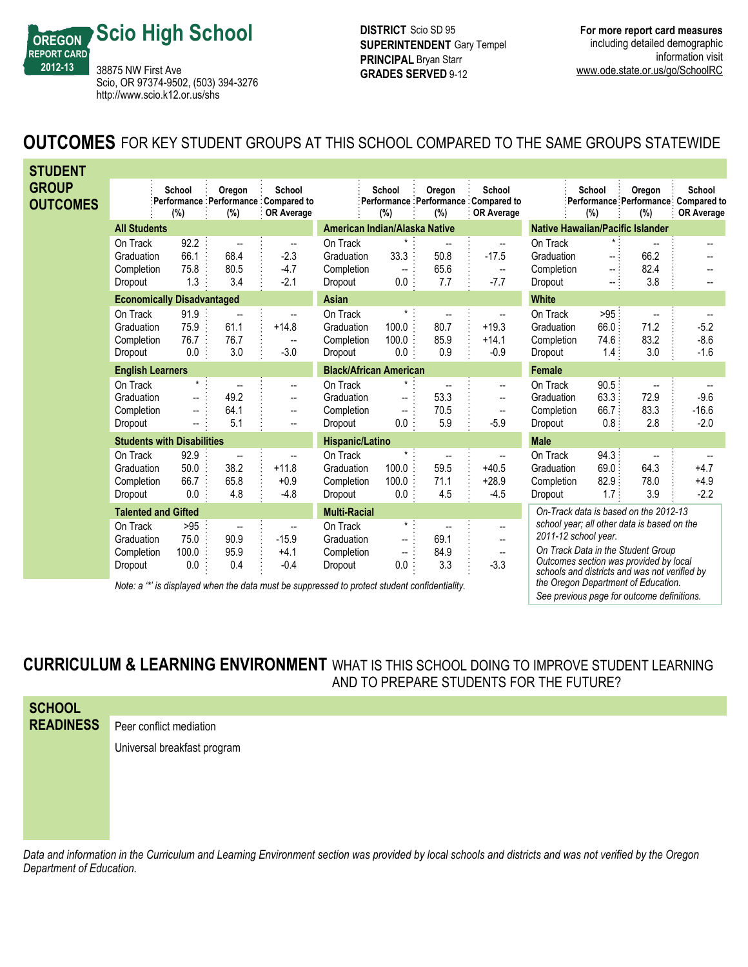

**DISTRICT** Scio SD 95 **SUPERINTENDENT** Gary Tempel **PRINCIPAL** Bryan Starr **GRADES SERVED 9-12** 

## **OUTCOMES** FOR KEY STUDENT GROUPS AT THIS SCHOOL COMPARED TO THE SAME GROUPS STATEWIDE

| <b>STUDENT</b>                  |                                                 |                                            |                           |                                                                                                 |                                                 |                                                                          |                                                 |                                                             |                                                 |                                 |                                                                                                                                                                              |                                                                    |
|---------------------------------|-------------------------------------------------|--------------------------------------------|---------------------------|-------------------------------------------------------------------------------------------------|-------------------------------------------------|--------------------------------------------------------------------------|-------------------------------------------------|-------------------------------------------------------------|-------------------------------------------------|---------------------------------|------------------------------------------------------------------------------------------------------------------------------------------------------------------------------|--------------------------------------------------------------------|
| <b>GROUP</b><br><b>OUTCOMES</b> |                                                 | School<br>(%)                              | Oregon<br>(%)             | School<br>Performance Performance Compared to<br><b>OR Average</b>                              |                                                 | School<br>(%)                                                            | Oregon<br>(% )                                  | School<br>Performance Performance Compared to<br>OR Average |                                                 | School<br>(%)                   | Oregon<br>(%)                                                                                                                                                                | School<br>Performance Performance Compared to<br><b>OR Average</b> |
|                                 | <b>All Students</b>                             |                                            |                           |                                                                                                 | American Indian/Alaska Native                   |                                                                          |                                                 |                                                             | <b>Native Hawaiian/Pacific Islander</b>         |                                 |                                                                                                                                                                              |                                                                    |
|                                 | On Track<br>Graduation<br>Completion<br>Dropout | 92.2<br>66.1<br>75.8<br>1.3                | --<br>68.4<br>80.5<br>3.4 | $\overline{\phantom{a}}$<br>$-2.3$<br>$-4.7$<br>$-2.1$                                          | On Track<br>Graduation<br>Completion<br>Dropout | 33.3<br>$\overline{\phantom{a}}$<br>0.0:                                 | $\overline{\phantom{a}}$<br>50.8<br>65.6<br>7.7 | --<br>$-17.5$<br>$\overline{\phantom{a}}$<br>$-7.7$         | On Track<br>Graduation<br>Completion<br>Dropout | -- 1<br>$\sim$ :<br>-- 5        | 66.2<br>82.4<br>3.8                                                                                                                                                          |                                                                    |
|                                 | <b>Economically Disadvantaged</b>               |                                            |                           |                                                                                                 | <b>Asian</b>                                    |                                                                          |                                                 |                                                             | <b>White</b>                                    |                                 |                                                                                                                                                                              |                                                                    |
|                                 | On Track<br>Graduation<br>Completion<br>Dropout | 91.9<br>75.9<br>76.7<br>0.0                | --<br>61.1<br>76.7<br>3.0 | $\overline{\phantom{a}}$<br>$+14.8$<br>$\overline{\phantom{a}}$<br>$-3.0$                       | On Track<br>Graduation<br>Completion<br>Dropout | $\star$ :<br>100.0<br>100.0<br>$0.0$ :                                   | 80.7<br>85.9<br>0.9                             | --<br>$+19.3$<br>$+14.1$<br>$-0.9$                          | On Track<br>Graduation<br>Completion<br>Dropout | $>95$<br>66.0<br>74.6:<br>1.4:  | 71.2<br>83.2<br>3.0                                                                                                                                                          | $-5.2$<br>$-8.6$<br>$-1.6$                                         |
|                                 | <b>English Learners</b>                         |                                            |                           |                                                                                                 | <b>Black/African American</b>                   |                                                                          |                                                 |                                                             | Female                                          |                                 |                                                                                                                                                                              |                                                                    |
|                                 | On Track<br>Graduation<br>Completion<br>Dropout | $\overline{\phantom{a}}$<br>$\overline{a}$ | --<br>49.2<br>64.1<br>5.1 | --<br>--<br>--<br>-−                                                                            | On Track<br>Graduation<br>Completion<br>Dropout | $\overline{\phantom{a}}$<br>0.0                                          | 53.3<br>70.5<br>5.9                             | --<br>--<br>$\overline{\phantom{a}}$<br>$-5.9$              | On Track<br>Graduation<br>Completion<br>Dropout | 90.5:<br>63.3.<br>66.7:<br>0.8: | 72.9<br>83.3<br>2.8                                                                                                                                                          | $-9.6$<br>$-16.6$<br>$-2.0$                                        |
|                                 | <b>Students with Disabilities</b>               |                                            |                           |                                                                                                 | Hispanic/Latino                                 |                                                                          |                                                 | <b>Male</b>                                                 |                                                 |                                 |                                                                                                                                                                              |                                                                    |
|                                 | On Track<br>Graduation<br>Completion<br>Dropout | 92.9<br>50.0<br>66.7<br>0.0                | 38.2<br>65.8<br>4.8       | $+11.8$<br>$+0.9$<br>$-4.8$                                                                     | On Track<br>Graduation<br>Completion<br>Dropout | $\star$<br>100.0<br>100.0<br>0.0                                         | 59.5<br>71.1<br>4.5                             | --<br>$+40.5$<br>$+28.9$<br>$-4.5$                          | On Track<br>Graduation<br>Completion<br>Dropout | 94.3:<br>69.0:<br>82.9<br>1.7:  | 64.3<br>78.0<br>3.9                                                                                                                                                          | $+4.7$<br>$+4.9$<br>$-2.2$                                         |
| <b>Talented and Gifted</b>      |                                                 | <b>Multi-Racial</b>                        |                           |                                                                                                 | On-Track data is based on the 2012-13           |                                                                          |                                                 |                                                             |                                                 |                                 |                                                                                                                                                                              |                                                                    |
|                                 | On Track<br>Graduation<br>Completion<br>Dropout | >95<br>75.0<br>100.0<br>0.0                | --<br>90.9<br>95.9<br>0.4 | --<br>$-15.9$<br>$+4.1$<br>$-0.4$                                                               | On Track<br>Graduation<br>Completion<br>Dropout | $\star$ .<br>$\overline{\phantom{a}}$<br>$\overline{\phantom{a}}$<br>0.0 | 69.1<br>84.9<br>3.3                             | --<br>$-$<br>$\overline{\phantom{a}}$<br>$-3.3$             | 2011-12 school year.                            |                                 | school year; all other data is based on the<br>On Track Data in the Student Group<br>Outcomes section was provided by local<br>schools and districts and was not verified by |                                                                    |
|                                 |                                                 |                                            |                           | Note: $\alpha$ is displayed when the data must be suppressed to protect student confidentiality |                                                 |                                                                          |                                                 |                                                             |                                                 |                                 | the Oregon Department of Education.                                                                                                                                          |                                                                    |

*Note: a '\*' is displayed when the data must be suppressed to protect student confidentiality.*

*See previous page for outcome definitions.*

### **CURRICULUM & LEARNING ENVIRONMENT** WHAT IS THIS SCHOOL DOING TO IMPROVE STUDENT LEARNING AND TO PREPARE STUDENTS FOR THE FUTURE?

| <b>SCHOOL</b>    |                             |
|------------------|-----------------------------|
| <b>READINESS</b> | Peer conflict mediation     |
|                  | Universal breakfast program |
|                  |                             |
|                  |                             |

*Data and information in the Curriculum and Learning Environment section was provided by local schools and districts and was not verified by the Oregon Department of Education.*